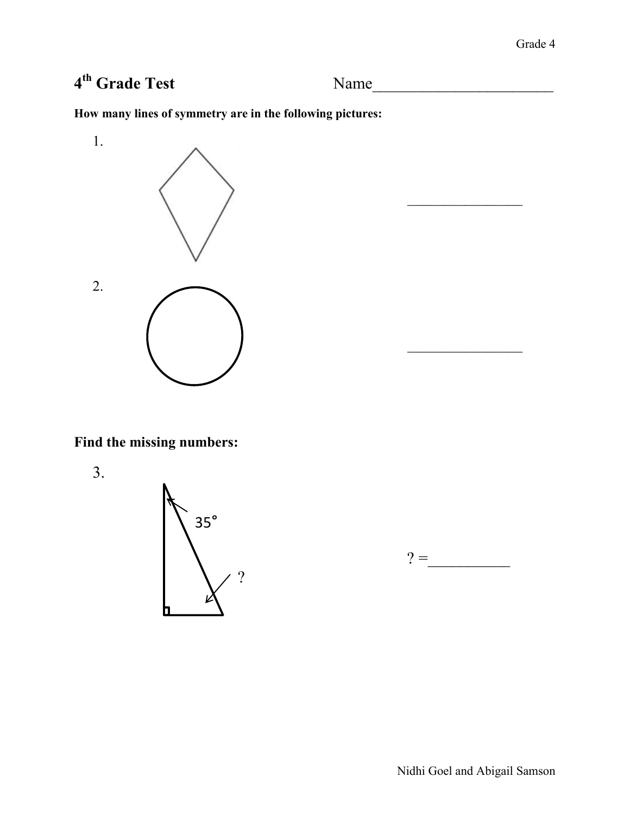# 4<sup>th</sup> Grade Test

**th Grade Test** Name\_\_\_\_\_\_\_\_\_\_\_\_\_\_\_\_\_\_\_\_\_\_

**How many lines of symmetry are in the following pictures:**



**Find the missing numbers:**

3.





 $\frac{1}{2}$ 

 $\frac{1}{2}$ 

Nidhi Goel and Abigail Samson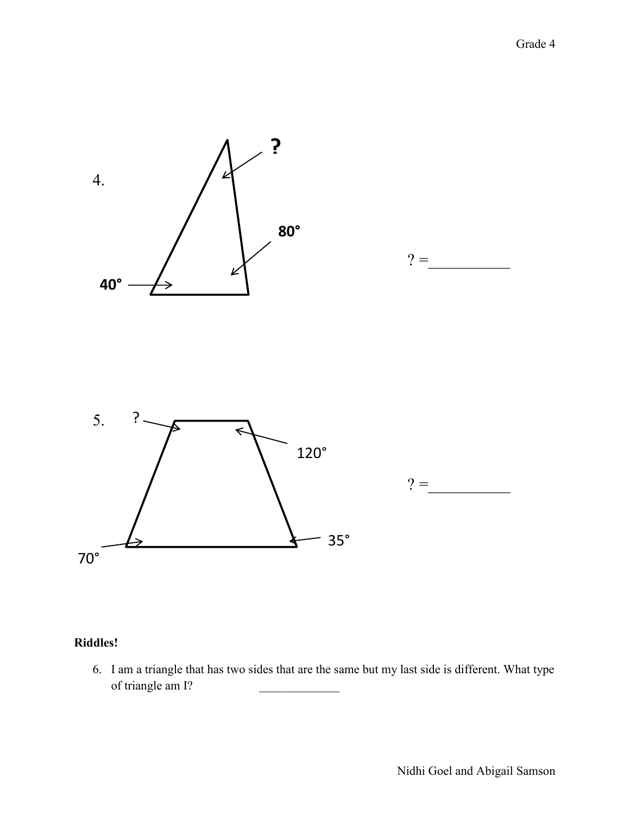

# **Riddles!**

6. I am a triangle that has two sides that are the same but my last side is different. What type of triangle am I?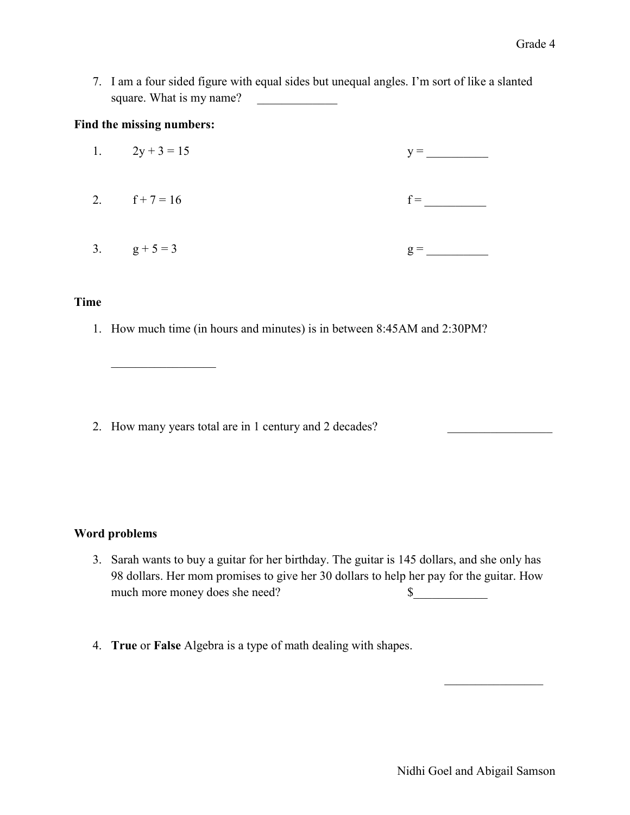7. I am a four sided figure with equal sides but unequal angles. I'm sort of like a slanted square. What is my name?

#### **Find the missing numbers:**

 $\mathcal{L}_\text{max}$  , where  $\mathcal{L}_\text{max}$ 

| 1. $2y + 3 = 15$ | $y =$          |
|------------------|----------------|
| 2. $f+7=16$      | $f =$          |
| 3. $g+5=3$       | $\mathbf{g} =$ |

#### **Time**

1. How much time (in hours and minutes) is in between 8:45AM and 2:30PM?

2. How many years total are in 1 century and 2 decades?

### **Word problems**

- 3. Sarah wants to buy a guitar for her birthday. The guitar is 145 dollars, and she only has 98 dollars. Her mom promises to give her 30 dollars to help her pay for the guitar. How much more money does she need?  $\qquad$
- 4. **True** or **False** Algebra is a type of math dealing with shapes.

 $\mathcal{L}_\text{max}$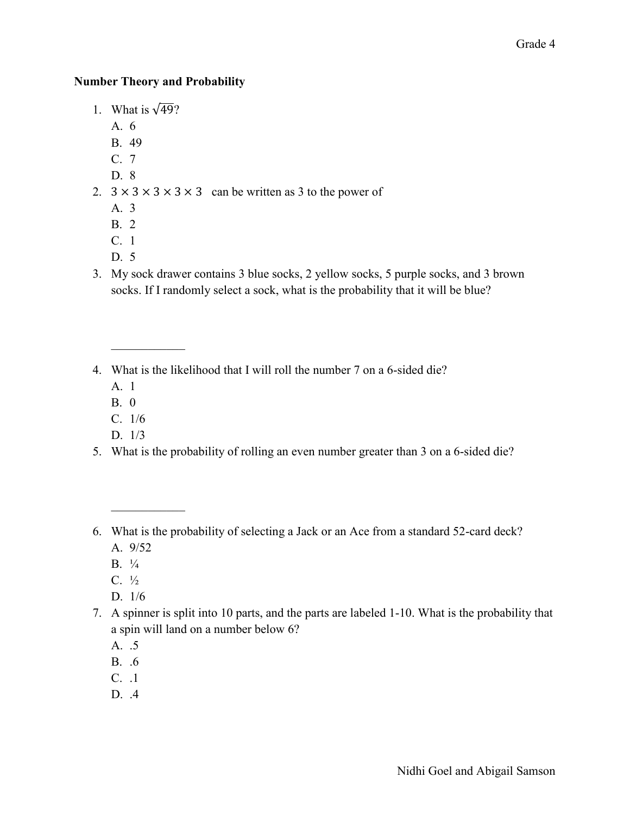## **Number Theory and Probability**

- 1. What is  $\sqrt{49}$ ?
	- A. 6
	- B. 49
	- C. 7
	- D. 8
- 2.  $3 \times 3 \times 3 \times 3 \times 3$  can be written as 3 to the power of
	- A. 3
	- B. 2
	- C. 1
	- D. 5
- 3. My sock drawer contains 3 blue socks, 2 yellow socks, 5 purple socks, and 3 brown socks. If I randomly select a sock, what is the probability that it will be blue?
- 4. What is the likelihood that I will roll the number 7 on a 6-sided die?
	- A. 1

 $\mathcal{L}_\text{max}$ 

- B. 0
- C. 1/6
- D. 1/3
- 5. What is the probability of rolling an even number greater than 3 on a 6-sided die?
- 6. What is the probability of selecting a Jack or an Ace from a standard 52-card deck?
	- A. 9/52

 $\mathcal{L}_\text{max}$ 

- $B. \frac{1}{4}$
- $C. \frac{1}{2}$
- D. 1/6
- 7. A spinner is split into 10 parts, and the parts are labeled 1-10. What is the probability that a spin will land on a number below 6?
	- A. .5
	- B. .6
	- C. .1
	- D. .4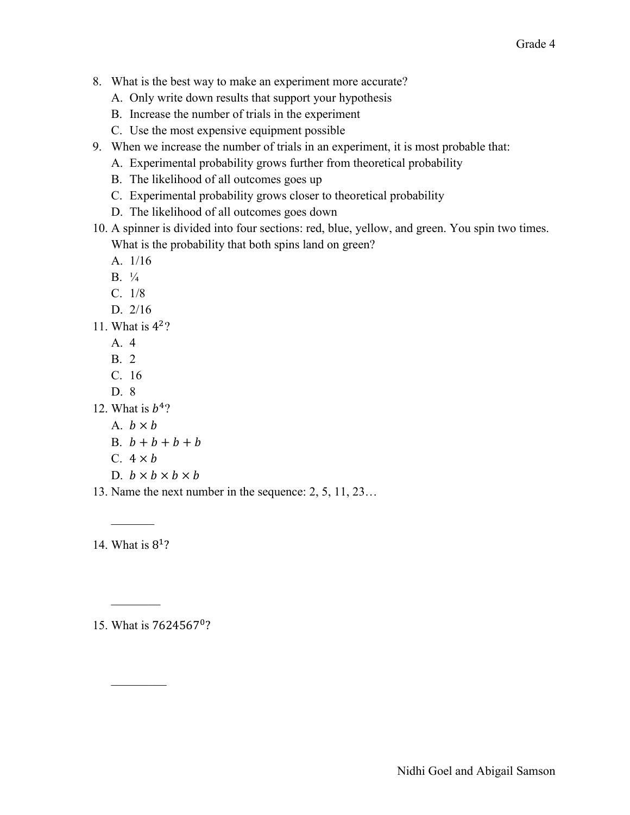- 8. What is the best way to make an experiment more accurate?
	- A. Only write down results that support your hypothesis
	- B. Increase the number of trials in the experiment
	- C. Use the most expensive equipment possible
- 9. When we increase the number of trials in an experiment, it is most probable that:
	- A. Experimental probability grows further from theoretical probability
	- B. The likelihood of all outcomes goes up
	- C. Experimental probability grows closer to theoretical probability
	- D. The likelihood of all outcomes goes down
- 10. A spinner is divided into four sections: red, blue, yellow, and green. You spin two times. What is the probability that both spins land on green?
	- A. 1/16
	- B. ¼
	- C. 1/8
	- D. 2/16
- 11. What is  $4<sup>2</sup>$ ?
	- A. 4
	- B. 2
	- C. 16
	- D. 8
- 12. What is  $b<sup>4</sup>$ ?
	- A.  $b \times b$
	- B.  $b + b + b + b$
	- C.  $4 \times b$
	- D.  $b \times b \times b \times b$
- 13. Name the next number in the sequence: 2, 5, 11, 23…

14. What is

 $\frac{1}{2}$ 

 $\mathcal{L}$ 

 $\frac{1}{2}$ 

15. What is 7624567<sup>0</sup>?